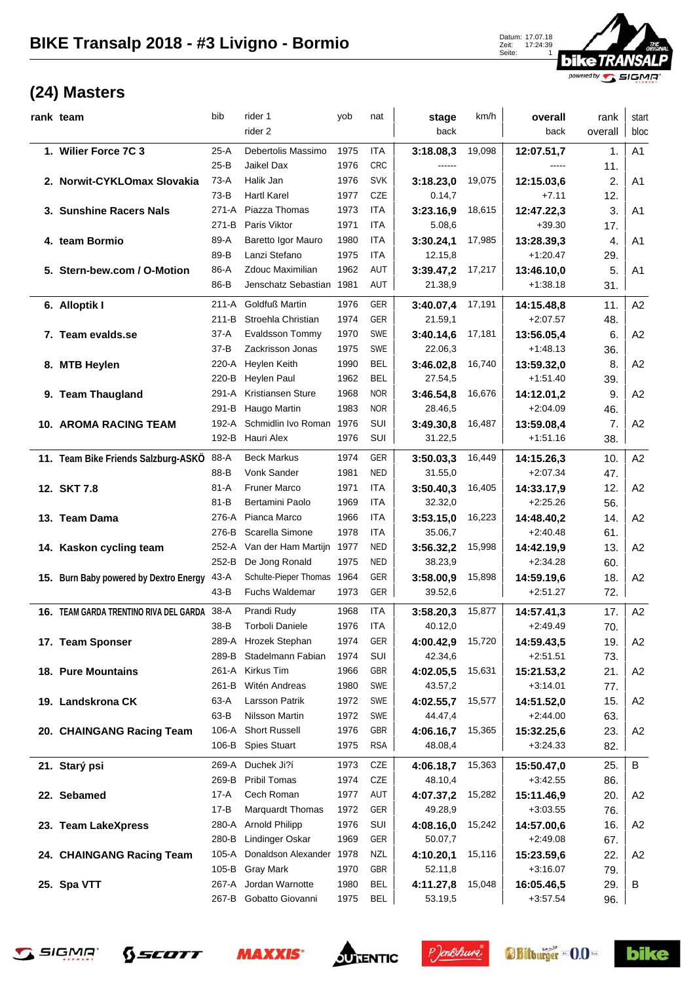

| rank team                              | bib       | rider 1                        | yob  | nat        | stage                | km/h   | overall                  | rank             | start          |
|----------------------------------------|-----------|--------------------------------|------|------------|----------------------|--------|--------------------------|------------------|----------------|
|                                        |           | rider 2                        |      |            | back                 |        | back                     | overall          | bloc           |
| 1. Wilier Force 7C 3                   | $25-A$    | Debertolis Massimo             | 1975 | ITA        | 3:18.08,3            | 19,098 | 12:07.51,7               | 1.               | A <sub>1</sub> |
|                                        | $25-B$    | Jaikel Dax                     | 1976 | <b>CRC</b> | ------               |        | $---$                    | 11.              |                |
| 2. Norwit-CYKLOmax Slovakia            | $73-A$    | Halik Jan                      | 1976 | <b>SVK</b> | 3:18.23,0            | 19,075 | 12:15.03,6               | 2.               | A <sub>1</sub> |
|                                        | $73-B$    | <b>Hartl Karel</b>             | 1977 | CZE        | 0.14,7               |        | $+7.11$                  | 12.              |                |
| 3. Sunshine Racers Nals                | $271 - A$ | Piazza Thomas                  | 1973 | <b>ITA</b> | 3:23.16,9            | 18,615 | 12:47.22,3               | 3.               | A <sub>1</sub> |
|                                        | 271-B     | Paris Viktor                   | 1971 | <b>ITA</b> | 5.08,6               |        | $+39.30$                 | 17.              |                |
| 4. team Bormio                         | 89-A      | Baretto Igor Mauro             | 1980 | ITA        | 3:30.24,1            | 17,985 | 13:28.39,3               | $\overline{4}$ . | A <sub>1</sub> |
|                                        | 89-B      | Lanzi Stefano                  | 1975 | ITA        | 12.15,8              |        | $+1:20.47$               | 29.              |                |
| 5. Stern-bew.com / O-Motion            | 86-A      | Zdouc Maximilian               | 1962 | AUT        | 3:39.47,2            | 17,217 | 13:46.10,0               | 5.               | A <sub>1</sub> |
|                                        | 86-B      | Jenschatz Sebastian 1981       |      | AUT        | 21.38,9              |        | $+1:38.18$               | 31.              |                |
| 6. Alloptik I                          | $211-A$   | <b>Goldfuß Martin</b>          | 1976 | GER        | 3:40.07,4            | 17,191 | 14:15.48,8               | 11.              | A2             |
|                                        | $211 - B$ | Stroehla Christian             | 1974 | GER        | 21.59,1              |        | $+2:07.57$               | 48.              |                |
| 7. Team evalds.se                      | 37-A      | Evaldsson Tommy                | 1970 | SWE        | 3:40.14,6            | 17,181 | 13:56.05,4               | 6.               | A2             |
|                                        | $37 - B$  | Zackrisson Jonas               | 1975 | SWE        | 22.06,3              |        | $+1:48.13$               | 36.              |                |
| 8. MTB Heylen                          | 220-A     | Heylen Keith                   | 1990 | <b>BEL</b> | 3:46.02.8            | 16,740 | 13:59.32,0               | 8.               | A2             |
|                                        | 220-B     | <b>Heylen Paul</b>             | 1962 | <b>BEL</b> | 27.54,5              |        | $+1:51.40$               | 39.              |                |
| 9. Team Thaugland                      | 291-A     | Kristiansen Sture              | 1968 | <b>NOR</b> | 3:46.54,8            | 16,676 | 14:12.01,2               | 9.               | A <sub>2</sub> |
|                                        | 291-B     | Haugo Martin                   | 1983 | <b>NOR</b> | 28.46,5              |        | $+2:04.09$               | 46.              |                |
| <b>10. AROMA RACING TEAM</b>           | 192-A     | Schmidlin Ivo Roman 1976       |      | SUI        | 3:49.30.8            | 16,487 | 13:59.08,4               | 7.               | A2             |
|                                        |           | 192-B Hauri Alex               | 1976 | SUI        | 31.22,5              |        | $+1:51.16$               | 38.              |                |
|                                        | 88-A      | <b>Beck Markus</b>             | 1974 | GER        |                      | 16,449 |                          | 10.              | A2             |
| 11. Team Bike Friends Salzburg-ASKÖ    | 88-B      | Vonk Sander                    | 1981 | <b>NED</b> | 3:50.03,3<br>31.55,0 |        | 14:15.26,3<br>$+2:07.34$ |                  |                |
|                                        | 81-A      | <b>Fruner Marco</b>            | 1971 | ITA        |                      |        |                          | 47.              | A2             |
| 12. SKT 7.8                            | $81 - B$  | Bertamini Paolo                | 1969 | ITA        | 3:50.40,3<br>32.32,0 | 16,405 | 14:33.17,9<br>$+2:25.26$ | 12.              |                |
|                                        | 276-A     | Pianca Marco                   | 1966 | ITA        |                      |        |                          | 56.              | A2             |
| 13. Team Dama                          | 276-B     | Scarella Simone                | 1978 | ITA        | 3:53.15,0<br>35.06,7 | 16,223 | 14:48.40,2<br>$+2:40.48$ | 14.              |                |
|                                        |           | 252-A Van der Ham Martijn 1977 |      | <b>NED</b> |                      |        |                          | 61.              |                |
| 14. Kaskon cycling team                | 252-B     | De Jong Ronald                 | 1975 | <b>NED</b> | 3:56.32,2<br>38.23,9 | 15,998 | 14:42.19,9<br>$+2:34.28$ | 13.<br>60.       | A <sub>2</sub> |
|                                        | 43-A      | Schulte-Pieper Thomas 1964     |      | GER        |                      | 15,898 |                          | 18.              | A <sub>2</sub> |
| 15. Burn Baby powered by Dextro Energy | 43-B      | <b>Fuchs Waldemar</b>          | 1973 | GER        | 3:58.00,9<br>39.52,6 |        | 14:59.19,6<br>$+2:51.27$ | 72.              |                |
|                                        |           |                                |      |            |                      |        |                          |                  |                |
| 16. TEAM GARDA TRENTINO RIVA DEL GARDA | $38-A$    | Prandi Rudy                    | 1968 | <b>ITA</b> | 3:58.20,3            | 15,877 | 14:57.41,3               | 17.              | A2             |
|                                        | 38-B      | <b>Torboli Daniele</b>         | 1976 | ITA        | 40.12,0              |        | $+2.49.49$               | 70.              |                |
| 17. Team Sponser                       |           | 289-A Hrozek Stephan           | 1974 | GER        | 4:00.42,9            | 15,720 | 14:59.43,5               | 19.              | A <sub>2</sub> |
|                                        | 289-B     | Stadelmann Fabian              | 1974 | SUI        | 42.34,6              |        | $+2:51.51$               | 73.              |                |
| 18. Pure Mountains                     | 261-A     | Kirkus Tim                     | 1966 | GBR        | 4:02.05,5            | 15,631 | 15:21.53,2               | 21.              | A <sub>2</sub> |
|                                        | 261-B     | Witén Andreas                  | 1980 | SWE        | 43.57,2              |        | $+3:14.01$               | 77.              |                |
| 19. Landskrona CK                      | 63-A      | Larsson Patrik                 | 1972 | SWE        | 4:02.55,7            | 15,577 | 14:51.52,0               | 15.              | A <sub>2</sub> |
|                                        | 63-B      | Nilsson Martin                 | 1972 | SWE        | 44.47,4              |        | $+2:44.00$               | 63.              |                |
| 20. CHAINGANG Racing Team              | 106-A     | <b>Short Russell</b>           | 1976 | GBR        | 4:06.16,7            | 15,365 | 15:32.25,6               | 23.              | A <sub>2</sub> |
|                                        |           | 106-B Spies Stuart             | 1975 | <b>RSA</b> | 48.08,4              |        | $+3:24.33$               | 82.              |                |
| 21. Starý psi                          | 269-A     | Duchek Ji?í                    | 1973 | CZE        | 4:06.18,7            | 15,363 | 15:50.47,0               | 25.              | B              |
|                                        | 269-B     | <b>Pribil Tomas</b>            | 1974 | CZE        | 48.10,4              |        | $+3:42.55$               | 86.              |                |
| 22. Sebamed                            | 17-A      | Cech Roman                     | 1977 | AUT        | 4:07.37,2            | 15,282 | 15:11.46,9               | 20.              | A <sub>2</sub> |
|                                        | 17-B      | <b>Marquardt Thomas</b>        | 1972 | GER        | 49.28,9              |        | $+3:03.55$               | 76.              |                |
| 23. Team LakeXpress                    | 280-A     | <b>Arnold Philipp</b>          | 1976 | SUI        | 4:08.16,0            | 15,242 | 14:57.00,6               | 16.              | A2             |
|                                        | 280-B     | Lindinger Oskar                | 1969 | GER        | 50.07,7              |        | $+2:49.08$               | 67.              |                |
| 24. CHAINGANG Racing Team              | 105-A     | Donaldson Alexander 1978       |      | <b>NZL</b> | 4:10.20,1            | 15,116 | 15:23.59,6               | 22.              | A2             |
|                                        | 105-B     | <b>Gray Mark</b>               | 1970 | <b>GBR</b> | 52.11,8              |        | $+3:16.07$               | 79.              |                |
| 25. Spa VTT                            | 267-A     | Jordan Warnotte                | 1980 | <b>BEL</b> | 4:11.27,8            | 15,048 | 16:05.46,5               | 29.              | B              |
|                                        | 267-B     | Gobatto Giovanni               | 1975 | <b>BEL</b> | 53.19,5              |        | $+3.57.54$               | 96.              |                |









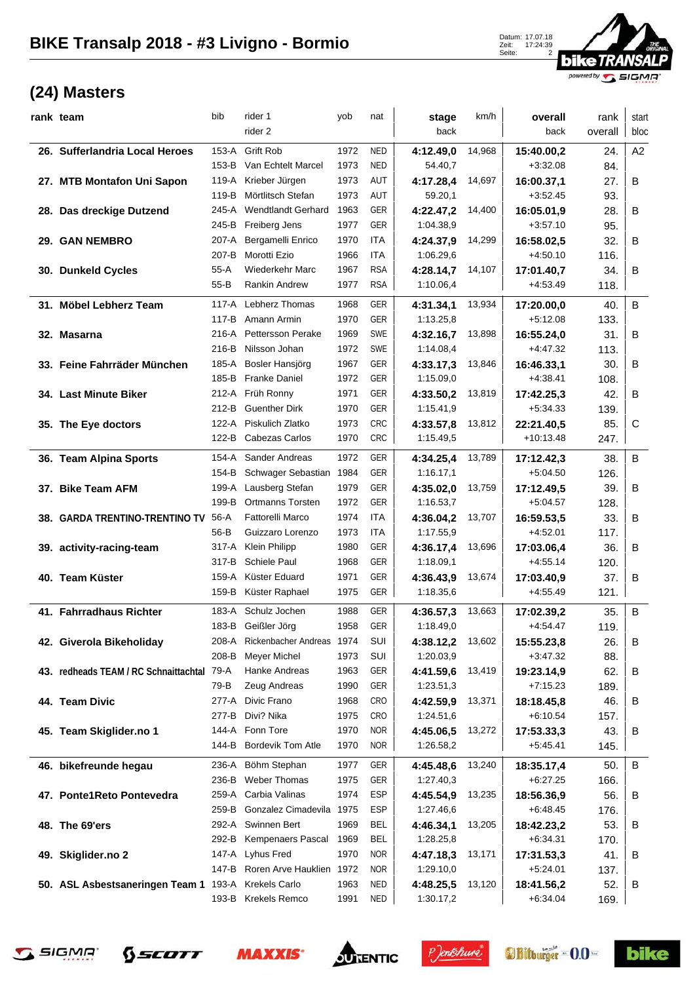

| rank team                                  | bib      | rider 1                   | yob  | nat        | stage     | km/h   | overall     | rank    | start   |
|--------------------------------------------|----------|---------------------------|------|------------|-----------|--------|-------------|---------|---------|
|                                            |          | rider 2                   |      |            | back      |        | back        | overall | bloc    |
| 26. Sufferlandria Local Heroes             | 153-A    | <b>Grift Rob</b>          | 1972 | <b>NED</b> | 4:12.49,0 | 14,968 | 15:40.00,2  | 24.     | A2      |
|                                            |          | 153-B Van Echtelt Marcel  | 1973 | <b>NED</b> | 54.40,7   |        | $+3:32.08$  | 84.     |         |
| 27. MTB Montafon Uni Sapon                 |          | 119-A Krieber Jürgen      | 1973 | AUT        | 4:17.28,4 | 14,697 | 16:00.37,1  | 27.     | B       |
|                                            | 119-B    | Mörtlitsch Stefan         | 1973 | AUT        | 59.20,1   |        | $+3.52.45$  | 93.     |         |
| 28. Das dreckige Dutzend                   | 245-A    | <b>Wendtlandt Gerhard</b> | 1963 | GER        | 4:22.47,2 | 14,400 | 16:05.01,9  | 28.     | B       |
|                                            | 245-B    | Freiberg Jens             | 1977 | GER        | 1:04.38,9 |        | $+3:57.10$  | 95.     |         |
| 29. GAN NEMBRO                             | 207-A    | Bergamelli Enrico         | 1970 | ITA        | 4:24.37,9 | 14,299 | 16:58.02,5  | 32.     | B       |
|                                            | 207-B    | Morotti Ezio              | 1966 | <b>ITA</b> | 1:06.29,6 |        | $+4.50.10$  | 116.    |         |
| 30. Dunkeld Cycles                         | $55-A$   | Wiederkehr Marc           | 1967 | <b>RSA</b> | 4:28.14,7 | 14,107 | 17:01.40,7  | 34.     | B       |
|                                            | $55 - B$ | Rankin Andrew             | 1977 | <b>RSA</b> | 1:10.06,4 |        | $+4.53.49$  | 118.    |         |
| 31. Möbel Lebherz Team                     | $117-A$  | Lebherz Thomas            | 1968 | GER        | 4:31.34,1 | 13,934 | 17:20.00,0  | 40.     | $\sf B$ |
|                                            |          | 117-B Amann Armin         | 1970 | GER        | 1:13.25,8 |        | $+5:12.08$  | 133.    |         |
| 32. Masarna                                | 216-A    | <b>Pettersson Perake</b>  | 1969 | SWE        | 4:32.16,7 | 13,898 | 16:55.24,0  | 31.     | B       |
|                                            | 216-B    | Nilsson Johan             | 1972 | SWE        | 1:14.08.4 |        | $+4.47.32$  | 113.    |         |
| 33. Feine Fahrräder München                | 185-A    | Bosler Hansjörg           | 1967 | GER        | 4:33.17,3 | 13,846 | 16:46.33,1  | 30.     | B       |
|                                            | 185-B    | <b>Franke Daniel</b>      | 1972 | GER        | 1:15.09,0 |        | $+4.38.41$  | 108.    |         |
| 34. Last Minute Biker                      |          | 212-A Früh Ronny          | 1971 | GER        | 4:33.50,2 | 13,819 | 17:42.25,3  | 42.     | B       |
|                                            | 212-B    | <b>Guenther Dirk</b>      | 1970 | GER        | 1:15.41,9 |        | $+5:34.33$  | 139.    |         |
| 35. The Eye doctors                        | 122-A    | Piskulich Zlatko          | 1973 | <b>CRC</b> | 4:33.57,8 | 13,812 | 22:21.40.5  | 85.     | C       |
|                                            |          | 122-B Cabezas Carlos      | 1970 | <b>CRC</b> | 1:15.49,5 |        | $+10:13.48$ | 247.    |         |
| 36. Team Alpina Sports                     | 154-A    | Sander Andreas            | 1972 | <b>GER</b> | 4:34.25,4 | 13,789 | 17:12.42,3  | 38.     | B       |
|                                            | 154-B    | Schwager Sebastian 1984   |      | GER        | 1:16.17,1 |        | $+5:04.50$  | 126.    |         |
| 37. Bike Team AFM                          |          | 199-A Lausberg Stefan     | 1979 | GER        | 4:35.02,0 | 13,759 | 17:12.49,5  | 39.     | B       |
|                                            | 199-B    | Ortmanns Torsten          | 1972 | GER        | 1:16.53,7 |        | $+5:04.57$  | 128.    |         |
| 38. GARDA TRENTINO-TRENTINO TV             | 56-A     | <b>Fattorelli Marco</b>   | 1974 | ITA        | 4:36.04.2 | 13,707 | 16:59.53,5  | 33.     | B       |
|                                            | 56-B     | Guizzaro Lorenzo          | 1973 | ITA        | 1:17.55,9 |        | $+4:52.01$  | 117.    |         |
| 39. activity-racing-team                   | 317-A    | <b>Klein Philipp</b>      | 1980 | <b>GER</b> | 4:36.17,4 | 13,696 | 17:03.06,4  | 36.     | B       |
|                                            | 317-B    | Schiele Paul              | 1968 | GER        | 1:18.09,1 |        | $+4.55.14$  | 120.    |         |
| 40. Team Küster                            | 159-A    | Küster Eduard             | 1971 | <b>GER</b> | 4:36.43.9 | 13,674 | 17:03.40.9  | 37.     | B       |
|                                            |          | 159-B Küster Raphael      | 1975 | GER        | 1:18.35,6 |        | $+4:55.49$  | 121.    |         |
| 41. Fahrradhaus Richter                    | 183-A    | Schulz Jochen             | 1988 | GER        | 4:36.57,3 | 13,663 | 17:02.39,2  | 35.     | B       |
|                                            |          | 183-B Geißler Jörg        | 1958 | GER        | 1:18.49,0 |        | $+4.54.47$  | 119.    |         |
| 42. Giverola Bikeholiday                   | 208-A    | Rickenbacher Andreas 1974 |      | SUI        | 4:38.12,2 | 13,602 | 15:55.23,8  | 26.     | В       |
|                                            | 208-B    | <b>Meyer Michel</b>       | 1973 | <b>SUI</b> | 1:20.03,9 |        | $+3:47.32$  | 88.     |         |
| 43. redheads TEAM / RC Schnaittachtal 79-A |          | Hanke Andreas             | 1963 | GER        | 4:41.59,6 | 13,419 | 19:23.14,9  | 62.     | В       |
|                                            | 79-B     | Zeug Andreas              | 1990 | GER        | 1:23.51,3 |        | $+7:15.23$  | 189.    |         |
| 44. Team Divic                             | 277-A    | Divic Frano               | 1968 | <b>CRO</b> | 4:42.59,9 | 13,371 | 18:18.45,8  | 46.     | В       |
|                                            | 277-B    | Divi? Nika                | 1975 | <b>CRO</b> | 1:24.51,6 |        | $+6:10.54$  | 157.    |         |
| 45. Team Skiglider.no 1                    |          | 144-A Fonn Tore           | 1970 | <b>NOR</b> | 4:45.06,5 | 13,272 | 17:53.33,3  | 43.     | В       |
|                                            | 144-B    | <b>Bordevik Tom Atle</b>  | 1970 | <b>NOR</b> | 1:26.58,2 |        | $+5:45.41$  | 145.    |         |
| 46. bikefreunde hegau                      | 236-A    | Böhm Stephan              | 1977 | GER        | 4:45.48,6 | 13,240 | 18:35.17,4  | 50.     | B       |
|                                            | 236-B    | <b>Weber Thomas</b>       | 1975 | GER        | 1:27.40,3 |        | $+6:27.25$  | 166.    |         |
| 47. Ponte1Reto Pontevedra                  | 259-A    | Carbia Valinas            | 1974 | <b>ESP</b> | 4:45.54,9 | 13,235 | 18:56.36,9  | 56.     | в       |
|                                            | 259-B    | Gonzalez Cimadevila 1975  |      | <b>ESP</b> | 1:27.46,6 |        | $+6:48.45$  | 176.    |         |
| 48. The 69'ers                             | 292-A    | Swinnen Bert              | 1969 | <b>BEL</b> | 4:46.34,1 | 13,205 | 18:42.23,2  | 53.     | в       |
|                                            | 292-B    | Kempenaers Pascal         | 1969 | <b>BEL</b> | 1:28.25,8 |        | $+6:34.31$  | 170.    |         |
| 49. Skiglider.no 2                         | 147-A    | Lyhus Fred                | 1970 | <b>NOR</b> | 4:47.18,3 | 13,171 | 17:31.53,3  | 41.     | В       |
|                                            | 147-B    | Roren Arve Hauklien 1972  |      | <b>NOR</b> | 1:29.10,0 |        | $+5:24.01$  | 137.    |         |
| 50. ASL Asbestsaneringen Team 1            |          | 193-A Krekels Carlo       | 1963 | NED        | 4:48.25,5 | 13,120 | 18:41.56,2  | 52.     | В       |
|                                            |          | 193-B Krekels Remco       | 1991 | <b>NED</b> | 1:30.17,2 |        | $+6:34.04$  | 169.    |         |









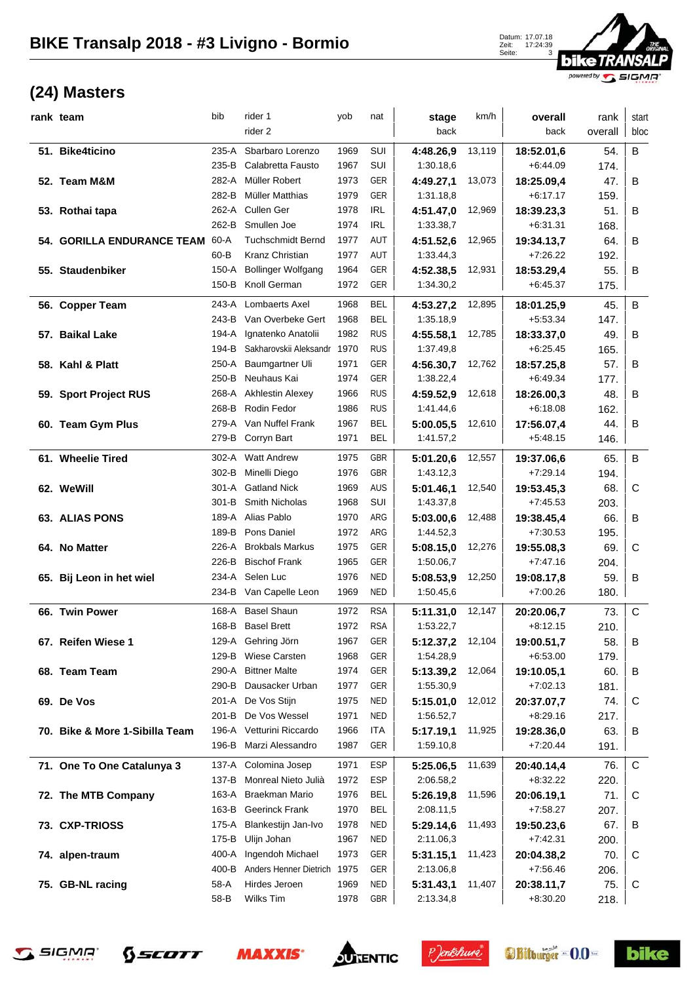

| rank team                         | bib     | rider 1                     | yob  | nat                      | stage                  | km/h   | overall                  | rank    | start       |
|-----------------------------------|---------|-----------------------------|------|--------------------------|------------------------|--------|--------------------------|---------|-------------|
|                                   |         | rider 2                     |      |                          | back                   |        | back                     | overall | bloc        |
| 51. Bike4ticino                   | $235-A$ | Sbarbaro Lorenzo            | 1969 | SUI                      | 4:48.26,9              | 13,119 | 18:52.01,6               | 54.     | B           |
|                                   | 235-B   | Calabretta Fausto           | 1967 | SUI                      | 1:30.18,6              |        | $+6:44.09$               | 174.    |             |
| 52. Team M&M                      | 282-A   | Müller Robert               | 1973 | GER                      | 4:49.27.1              | 13,073 | 18:25.09,4               | 47.     | B           |
|                                   | 282-B   | <b>Müller Matthias</b>      | 1979 | GER                      | 1:31.18,8              |        | $+6:17.17$               | 159.    |             |
| 53. Rothai tapa                   | 262-A   | Cullen Ger                  | 1978 | <b>IRL</b>               | 4:51.47,0              | 12,969 | 18:39.23,3               | 51.     | B           |
|                                   | 262-B   | Smullen Joe                 | 1974 | <b>IRL</b>               | 1:33.38,7              |        | $+6:31.31$               | 168.    |             |
| <b>54. GORILLA ENDURANCE TEAM</b> | 60-A    | <b>Tuchschmidt Bernd</b>    | 1977 | AUT                      | 4:51.52,6              | 12,965 | 19:34.13,7               | 64.     | B           |
|                                   | $60-B$  | Kranz Christian             | 1977 | AUT                      | 1:33.44,3              |        | $+7:26.22$               | 192.    |             |
| 55. Staudenbiker                  | 150-A   | <b>Bollinger Wolfgang</b>   | 1964 | <b>GER</b>               | 4:52.38,5              | 12,931 | 18:53.29,4               | 55.     | в           |
|                                   | 150-B   | Knoll German                | 1972 | GER                      | 1:34.30,2              |        | $+6:45.37$               | 175.    |             |
| 56. Copper Team                   | 243-A   | Lombaerts Axel              | 1968 | <b>BEL</b>               |                        | 12,895 |                          | 45.     | B           |
|                                   | 243-B   | Van Overbeke Gert           | 1968 | <b>BEL</b>               | 4:53.27,2<br>1:35.18,9 |        | 18:01.25,9<br>$+5:53.34$ | 147.    |             |
| 57. Baikal Lake                   | 194-A   | Ignatenko Anatolii          | 1982 | <b>RUS</b>               | 4:55.58,1              | 12,785 | 18:33.37,0               | 49.     | B           |
|                                   | 194-B   | Sakharovskii Aleksandr      | 1970 | <b>RUS</b>               | 1:37.49,8              |        | $+6:25.45$               | 165.    |             |
| 58. Kahl & Platt                  | 250-A   | Baumgartner Uli             | 1971 | GER                      | 4:56.30,7              | 12,762 | 18:57.25,8               | 57.     | B           |
|                                   | 250-B   | Neuhaus Kai                 | 1974 | GER                      | 1:38.22,4              |        | $+6.49.34$               | 177.    |             |
| 59. Sport Project RUS             |         | 268-A Akhlestin Alexey      | 1966 | <b>RUS</b>               | 4:59.52,9              | 12,618 | 18:26.00,3               | 48.     | B           |
|                                   | 268-B   | Rodin Fedor                 | 1986 | <b>RUS</b>               | 1:41.44,6              |        | $+6.18.08$               | 162.    |             |
| 60. Team Gym Plus                 | 279-A   | Van Nuffel Frank            | 1967 | <b>BEL</b>               | 5:00.05,5              | 12,610 | 17:56.07,4               | 44.     | в           |
|                                   | 279-B   | Corryn Bart                 | 1971 | <b>BEL</b>               | 1:41.57,2              |        | $+5.48.15$               | 146.    |             |
|                                   |         |                             |      |                          |                        |        |                          |         |             |
| 61. Wheelie Tired                 | 302-A   | <b>Watt Andrew</b>          | 1975 | <b>GBR</b>               | 5:01.20,6              | 12,557 | 19:37.06,6               | 65.     | $\sf B$     |
|                                   | 302-B   | Minelli Diego               | 1976 | <b>GBR</b>               | 1:43.12,3              |        | $+7:29.14$               | 194.    |             |
| 62. WeWill                        | 301-A   | <b>Gatland Nick</b>         | 1969 | <b>AUS</b>               | 5:01.46,1              | 12,540 | 19:53.45,3               | 68.     | C           |
|                                   | 301-B   | Smith Nicholas              | 1968 | SUI                      | 1:43.37,8              |        | $+7:45.53$               | 203.    |             |
| <b>63. ALIAS PONS</b>             | 189-A   | Alias Pablo                 | 1970 | ARG                      | 5:03.00,6              | 12,488 | 19:38.45,4               | 66.     | B           |
|                                   | 189-B   | Pons Daniel                 | 1972 | ARG                      | 1:44.52,3              |        | $+7:30.53$               | 195.    |             |
| 64. No Matter                     | 226-A   | <b>Brokbals Markus</b>      | 1975 | GER                      | 5:08.15,0              | 12,276 | 19:55.08,3               | 69.     | C           |
|                                   | 226-B   | <b>Bischof Frank</b>        | 1965 | GER                      | 1:50.06,7              |        | $+7:47.16$               | 204.    |             |
| 65. Bij Leon in het wiel          | 234-A   | Selen Luc                   | 1976 | <b>NED</b><br><b>NED</b> | 5:08.53,9              | 12,250 | 19:08.17,8               | 59.     | B           |
|                                   |         | 234-B Van Capelle Leon      | 1969 |                          | 1:50.45,6              |        | $+7:00.26$               | 180.    |             |
| 66. Twin Power                    | 168-A   | <b>Basel Shaun</b>          | 1972 | <b>RSA</b>               | 5:11.31,0              | 12,147 | 20:20.06,7               | 73.     | $\mathsf C$ |
|                                   |         | 168-B Basel Brett           | 1972 | <b>RSA</b>               | 1:53.22,7              |        | $+8:12.15$               | 210.    |             |
| 67. Reifen Wiese 1                |         | 129-A Gehring Jörn          | 1967 | GER                      | 5:12.37,2              | 12,104 | 19:00.51,7               | 58.     | В           |
|                                   | 129-B   | <b>Wiese Carsten</b>        | 1968 | GER                      | 1:54.28,9              |        | $+6:53.00$               | 179.    |             |
| 68. Team Team                     | 290-A   | <b>Bittner Malte</b>        | 1974 | GER                      | 5:13.39,2              | 12,064 | 19:10.05,1               | 60.     | В           |
|                                   | 290-B   | Dausacker Urban             | 1977 | GER                      | 1:55.30,9              |        | +7:02.13                 | 181.    |             |
| 69. De Vos                        |         | 201-A De Vos Stijn          | 1975 | NED                      | 5:15.01,0              | 12,012 | 20:37.07,7               | 74.     | C           |
|                                   | 201-B   | De Vos Wessel               | 1971 | <b>NED</b>               | 1:56.52,7              |        | $+8:29.16$               | 217.    |             |
| 70. Bike & More 1-Sibilla Team    |         | 196-A Vetturini Riccardo    | 1966 | ITA                      | 5:17.19.1              | 11,925 | 19:28.36,0               | 63.     | В           |
|                                   |         | 196-B Marzi Alessandro      | 1987 | GER                      | 1:59.10,8              |        | $+7:20.44$               | 191.    |             |
| 71. One To One Catalunya 3        | 137-A   | Colomina Josep              | 1971 | ESP                      | 5:25.06,5              | 11,639 | 20:40.14,4               | 76.     | C           |
|                                   | 137-B   | Monreal Nieto Julià         | 1972 | ESP                      | 2:06.58,2              |        | $+8:32.22$               | 220.    |             |
| 72. The MTB Company               | 163-A   | Braekman Mario              | 1976 | <b>BEL</b>               | 5:26.19,8              | 11,596 | 20:06.19,1               | 71.     | C           |
|                                   | 163-B   | <b>Geerinck Frank</b>       | 1970 | <b>BEL</b>               | 2:08.11,5              |        | $+7:58.27$               | 207.    |             |
| 73. CXP-TRIOSS                    | 175-A   | Blankestijn Jan-Ivo         | 1978 | <b>NED</b>               | 5:29.14,6              | 11,493 | 19:50.23,6               | 67.     | В           |
|                                   | 175-B   | Ulijn Johan                 | 1967 | <b>NED</b>               | 2:11.06,3              |        | $+7:42.31$               | 200.    |             |
| 74. alpen-traum                   | 400-A   | Ingendoh Michael            | 1973 | GER                      | 5:31.15,1              | 11,423 | 20:04.38,2               | 70.     | C           |
|                                   | 400-B   | Anders Henner Dietrich 1975 |      | GER                      | 2:13.06,8              |        | $+7:56.46$               | 206.    |             |
| 75. GB-NL racing                  | 58-A    | Hirdes Jeroen               | 1969 | <b>NED</b>               | 5:31.43,1              | 11,407 | 20:38.11,7               | 75.     | C           |
|                                   | 58-B    | Wilks Tim                   | 1978 | GBR                      | 2:13.34,8              |        | $+8:30.20$               | 218.    |             |